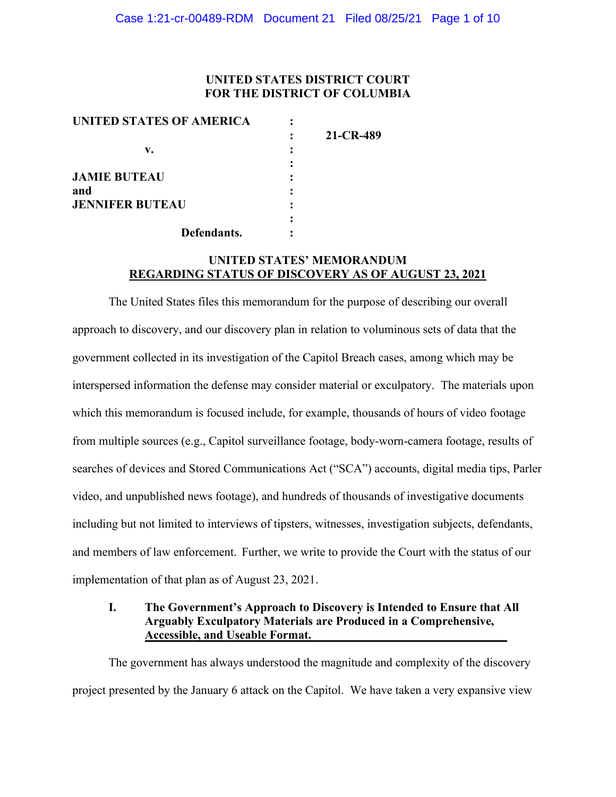## **UNITED STATES DISTRICT COURT FOR THE DISTRICT OF COLUMBIA**

| UNITED STATES OF AMERICA |           |
|--------------------------|-----------|
|                          | 21-CR-489 |
| v.                       |           |
|                          |           |
| <b>JAMIE BUTEAU</b>      |           |
| and                      |           |
| <b>JENNIFER BUTEAU</b>   |           |
|                          |           |
| Defendants.              |           |

# **UNITED STATES' MEMORANDUM REGARDING STATUS OF DISCOVERY AS OF AUGUST 23, 2021**

The United States files this memorandum for the purpose of describing our overall approach to discovery, and our discovery plan in relation to voluminous sets of data that the government collected in its investigation of the Capitol Breach cases, among which may be interspersed information the defense may consider material or exculpatory. The materials upon which this memorandum is focused include, for example, thousands of hours of video footage from multiple sources (e.g., Capitol surveillance footage, body-worn-camera footage, results of searches of devices and Stored Communications Act ("SCA") accounts, digital media tips, Parler video, and unpublished news footage), and hundreds of thousands of investigative documents including but not limited to interviews of tipsters, witnesses, investigation subjects, defendants, and members of law enforcement. Further, we write to provide the Court with the status of our implementation of that plan as of August 23, 2021.

## **I. The Government's Approach to Discovery is Intended to Ensure that All Arguably Exculpatory Materials are Produced in a Comprehensive, Accessible, and Useable Format.**

The government has always understood the magnitude and complexity of the discovery project presented by the January 6 attack on the Capitol. We have taken a very expansive view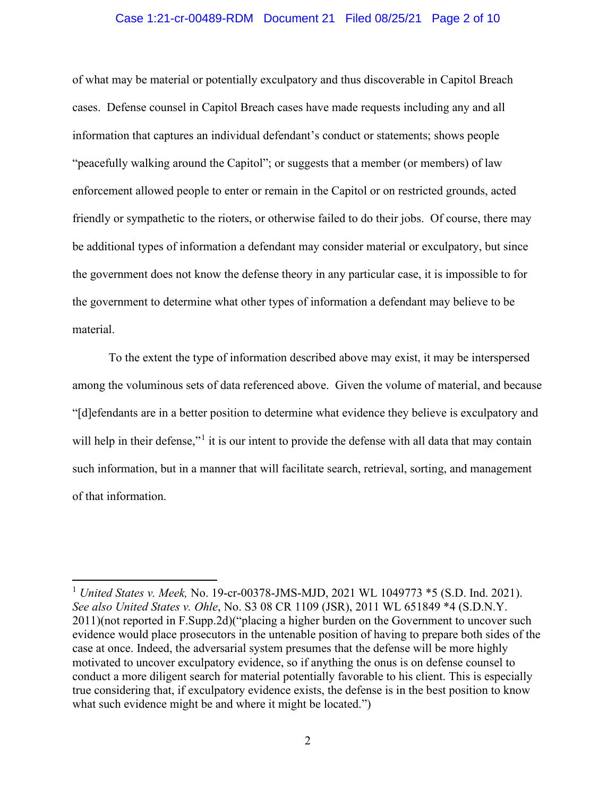## Case 1:21-cr-00489-RDM Document 21 Filed 08/25/21 Page 2 of 10

of what may be material or potentially exculpatory and thus discoverable in Capitol Breach cases. Defense counsel in Capitol Breach cases have made requests including any and all information that captures an individual defendant's conduct or statements; shows people "peacefully walking around the Capitol"; or suggests that a member (or members) of law enforcement allowed people to enter or remain in the Capitol or on restricted grounds, acted friendly or sympathetic to the rioters, or otherwise failed to do their jobs. Of course, there may be additional types of information a defendant may consider material or exculpatory, but since the government does not know the defense theory in any particular case, it is impossible to for the government to determine what other types of information a defendant may believe to be material.

To the extent the type of information described above may exist, it may be interspersed among the voluminous sets of data referenced above. Given the volume of material, and because "[d]efendants are in a better position to determine what evidence they believe is exculpatory and will help in their defense,"<sup>1</sup> it is our intent to provide the defense with all data that may contain such information, but in a manner that will facilitate search, retrieval, sorting, and management of that information.

<sup>1</sup> *United States v. Meek,* No. 19-cr-00378-JMS-MJD, 2021 WL 1049773 \*5 (S.D. Ind. 2021). *See also United States v. Ohle*, No. S3 08 CR 1109 (JSR), 2011 WL 651849 \*4 (S.D.N.Y. 2011)(not reported in F.Supp.2d)("placing a higher burden on the Government to uncover such evidence would place prosecutors in the untenable position of having to prepare both sides of the case at once. Indeed, the adversarial system presumes that the defense will be more highly motivated to uncover exculpatory evidence, so if anything the onus is on defense counsel to conduct a more diligent search for material potentially favorable to his client. This is especially true considering that, if exculpatory evidence exists, the defense is in the best position to know what such evidence might be and where it might be located.")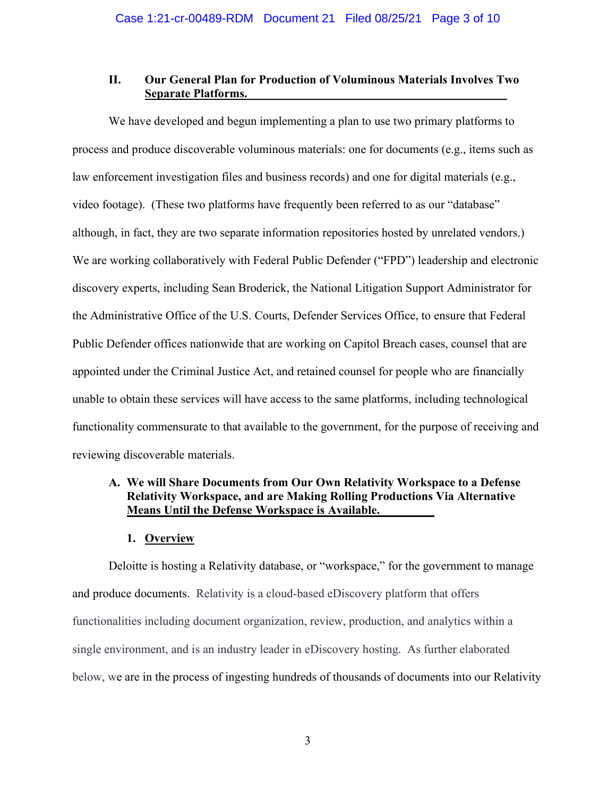## **II. Our General Plan for Production of Voluminous Materials Involves Two Separate Platforms.**

We have developed and begun implementing a plan to use two primary platforms to process and produce discoverable voluminous materials: one for documents (e.g., items such as law enforcement investigation files and business records) and one for digital materials (e.g., video footage). (These two platforms have frequently been referred to as our "database" although, in fact, they are two separate information repositories hosted by unrelated vendors.) We are working collaboratively with Federal Public Defender ("FPD") leadership and electronic discovery experts, including Sean Broderick, the National Litigation Support Administrator for the Administrative Office of the U.S. Courts, Defender Services Office, to ensure that Federal Public Defender offices nationwide that are working on Capitol Breach cases, counsel that are appointed under the Criminal Justice Act, and retained counsel for people who are financially unable to obtain these services will have access to the same platforms, including technological functionality commensurate to that available to the government, for the purpose of receiving and reviewing discoverable materials.

# **A. We will Share Documents from Our Own Relativity Workspace to a Defense Relativity Workspace, and are Making Rolling Productions Via Alternative Means Until the Defense Workspace is Available.**

## **1. Overview**

Deloitte is hosting a Relativity database, or "workspace," for the government to manage and produce documents. Relativity is a cloud-based eDiscovery platform that offers functionalities including document organization, review, production, and analytics within a single environment, and is an industry leader in eDiscovery hosting. As further elaborated below, we are in the process of ingesting hundreds of thousands of documents into our Relativity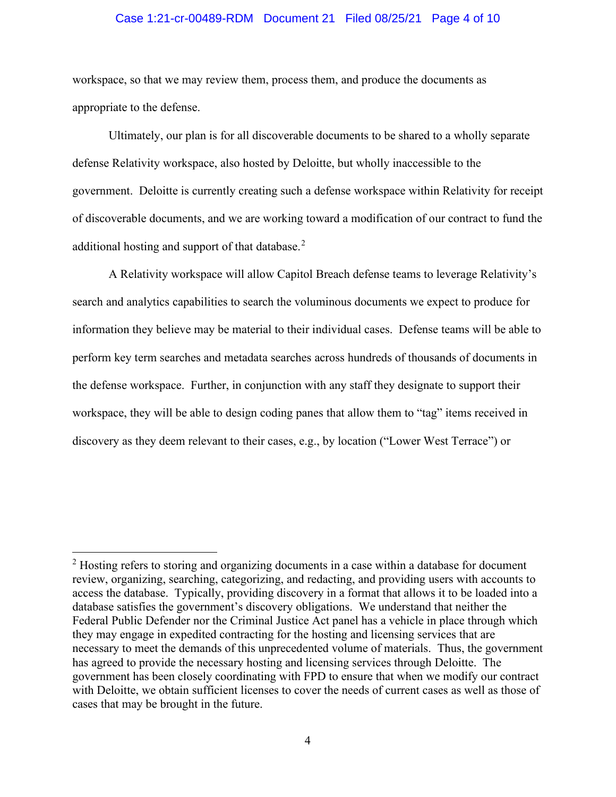## Case 1:21-cr-00489-RDM Document 21 Filed 08/25/21 Page 4 of 10

workspace, so that we may review them, process them, and produce the documents as appropriate to the defense.

Ultimately, our plan is for all discoverable documents to be shared to a wholly separate defense Relativity workspace, also hosted by Deloitte, but wholly inaccessible to the government. Deloitte is currently creating such a defense workspace within Relativity for receipt of discoverable documents, and we are working toward a modification of our contract to fund the additional hosting and support of that database.<sup>2</sup>

A Relativity workspace will allow Capitol Breach defense teams to leverage Relativity's search and analytics capabilities to search the voluminous documents we expect to produce for information they believe may be material to their individual cases. Defense teams will be able to perform key term searches and metadata searches across hundreds of thousands of documents in the defense workspace. Further, in conjunction with any staff they designate to support their workspace, they will be able to design coding panes that allow them to "tag" items received in discovery as they deem relevant to their cases, e.g., by location ("Lower West Terrace") or

<sup>&</sup>lt;sup>2</sup> Hosting refers to storing and organizing documents in a case within a database for document review, organizing, searching, categorizing, and redacting, and providing users with accounts to access the database. Typically, providing discovery in a format that allows it to be loaded into a database satisfies the government's discovery obligations. We understand that neither the Federal Public Defender nor the Criminal Justice Act panel has a vehicle in place through which they may engage in expedited contracting for the hosting and licensing services that are necessary to meet the demands of this unprecedented volume of materials. Thus, the government has agreed to provide the necessary hosting and licensing services through Deloitte. The government has been closely coordinating with FPD to ensure that when we modify our contract with Deloitte, we obtain sufficient licenses to cover the needs of current cases as well as those of cases that may be brought in the future.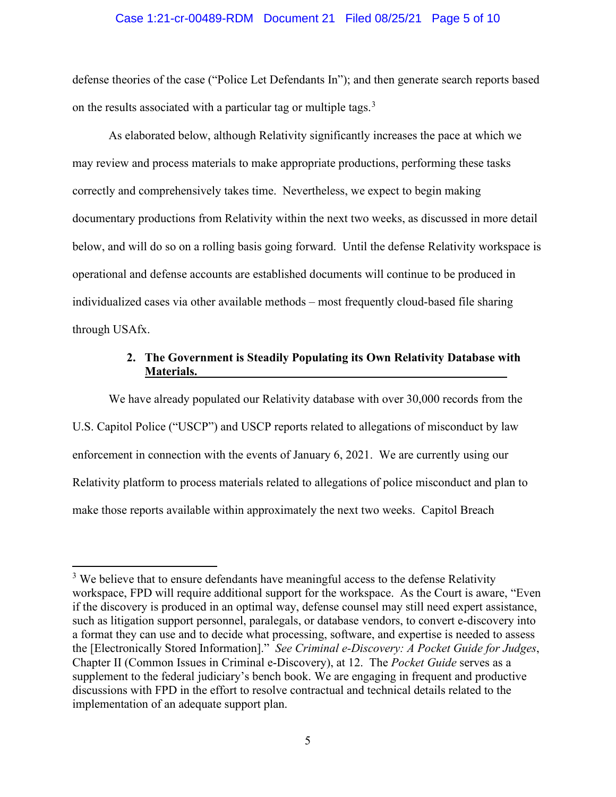### Case 1:21-cr-00489-RDM Document 21 Filed 08/25/21 Page 5 of 10

defense theories of the case ("Police Let Defendants In"); and then generate search reports based on the results associated with a particular tag or multiple tags.<sup>3</sup>

As elaborated below, although Relativity significantly increases the pace at which we may review and process materials to make appropriate productions, performing these tasks correctly and comprehensively takes time. Nevertheless, we expect to begin making documentary productions from Relativity within the next two weeks, as discussed in more detail below, and will do so on a rolling basis going forward. Until the defense Relativity workspace is operational and defense accounts are established documents will continue to be produced in individualized cases via other available methods – most frequently cloud-based file sharing through USAfx.

# **2. The Government is Steadily Populating its Own Relativity Database with Materials.**

We have already populated our Relativity database with over 30,000 records from the U.S. Capitol Police ("USCP") and USCP reports related to allegations of misconduct by law enforcement in connection with the events of January 6, 2021. We are currently using our Relativity platform to process materials related to allegations of police misconduct and plan to make those reports available within approximately the next two weeks. Capitol Breach

 $3$  We believe that to ensure defendants have meaningful access to the defense Relativity workspace, FPD will require additional support for the workspace. As the Court is aware, "Even if the discovery is produced in an optimal way, defense counsel may still need expert assistance, such as litigation support personnel, paralegals, or database vendors, to convert e-discovery into a format they can use and to decide what processing, software, and expertise is needed to assess the [Electronically Stored Information]." *See Criminal e-Discovery: A Pocket Guide for Judges*, Chapter II (Common Issues in Criminal e-Discovery), at 12.The *Pocket Guide* serves as a supplement to the federal judiciary's bench book. We are engaging in frequent and productive discussions with FPD in the effort to resolve contractual and technical details related to the implementation of an adequate support plan.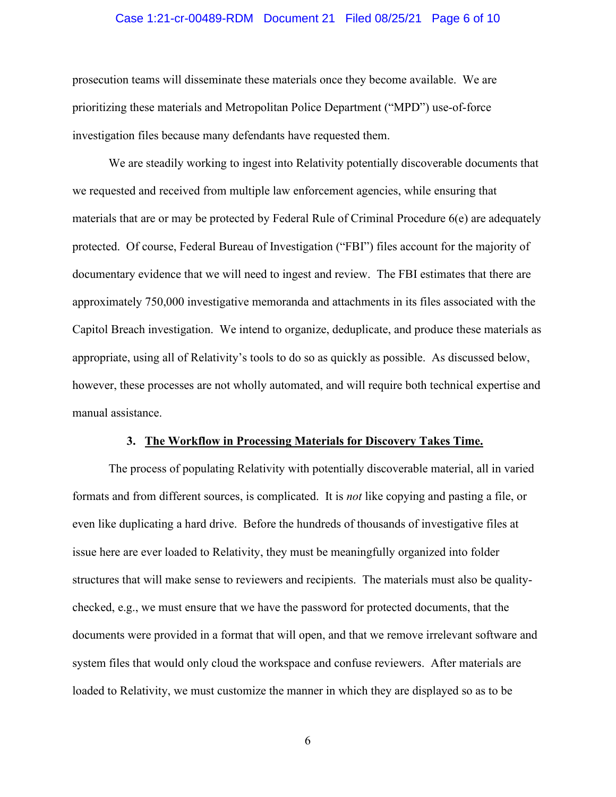## Case 1:21-cr-00489-RDM Document 21 Filed 08/25/21 Page 6 of 10

prosecution teams will disseminate these materials once they become available. We are prioritizing these materials and Metropolitan Police Department ("MPD") use-of-force investigation files because many defendants have requested them.

We are steadily working to ingest into Relativity potentially discoverable documents that we requested and received from multiple law enforcement agencies, while ensuring that materials that are or may be protected by Federal Rule of Criminal Procedure 6(e) are adequately protected. Of course, Federal Bureau of Investigation ("FBI") files account for the majority of documentary evidence that we will need to ingest and review. The FBI estimates that there are approximately 750,000 investigative memoranda and attachments in its files associated with the Capitol Breach investigation. We intend to organize, deduplicate, and produce these materials as appropriate, using all of Relativity's tools to do so as quickly as possible. As discussed below, however, these processes are not wholly automated, and will require both technical expertise and manual assistance.

#### **3. The Workflow in Processing Materials for Discovery Takes Time.**

The process of populating Relativity with potentially discoverable material, all in varied formats and from different sources, is complicated. It is *not* like copying and pasting a file, or even like duplicating a hard drive. Before the hundreds of thousands of investigative files at issue here are ever loaded to Relativity, they must be meaningfully organized into folder structures that will make sense to reviewers and recipients. The materials must also be qualitychecked, e.g., we must ensure that we have the password for protected documents, that the documents were provided in a format that will open, and that we remove irrelevant software and system files that would only cloud the workspace and confuse reviewers. After materials are loaded to Relativity, we must customize the manner in which they are displayed so as to be

6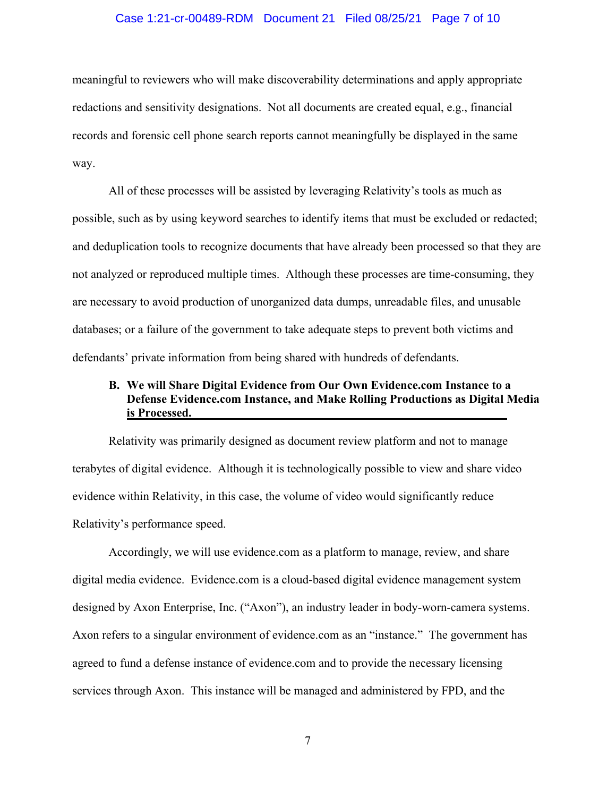### Case 1:21-cr-00489-RDM Document 21 Filed 08/25/21 Page 7 of 10

meaningful to reviewers who will make discoverability determinations and apply appropriate redactions and sensitivity designations. Not all documents are created equal, e.g., financial records and forensic cell phone search reports cannot meaningfully be displayed in the same way.

All of these processes will be assisted by leveraging Relativity's tools as much as possible, such as by using keyword searches to identify items that must be excluded or redacted; and deduplication tools to recognize documents that have already been processed so that they are not analyzed or reproduced multiple times. Although these processes are time-consuming, they are necessary to avoid production of unorganized data dumps, unreadable files, and unusable databases; or a failure of the government to take adequate steps to prevent both victims and defendants' private information from being shared with hundreds of defendants.

# **B. We will Share Digital Evidence from Our Own Evidence.com Instance to a Defense Evidence.com Instance, and Make Rolling Productions as Digital Media is Processed.**

Relativity was primarily designed as document review platform and not to manage terabytes of digital evidence. Although it is technologically possible to view and share video evidence within Relativity, in this case, the volume of video would significantly reduce Relativity's performance speed.

Accordingly, we will use evidence.com as a platform to manage, review, and share digital media evidence. Evidence.com is a cloud-based digital evidence management system designed by Axon Enterprise, Inc. ("Axon"), an industry leader in body-worn-camera systems. Axon refers to a singular environment of evidence.com as an "instance." The government has agreed to fund a defense instance of evidence.com and to provide the necessary licensing services through Axon. This instance will be managed and administered by FPD, and the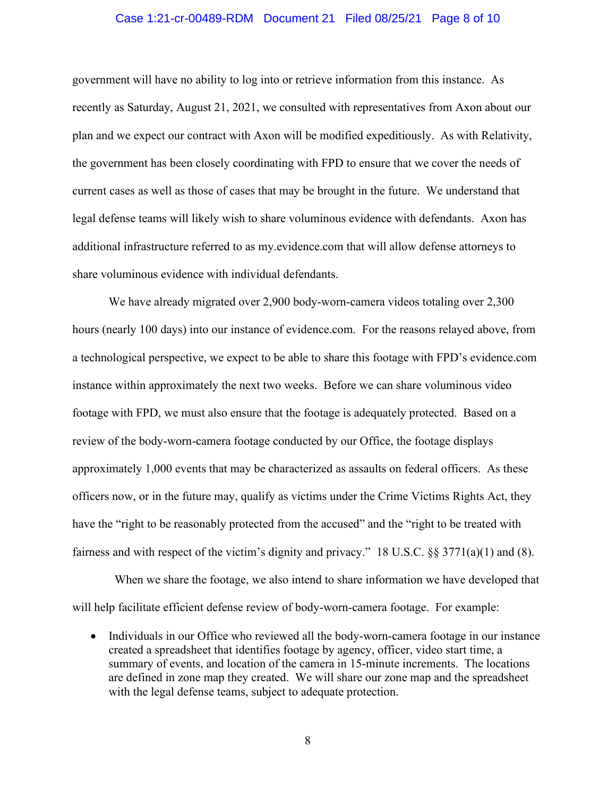## Case 1:21-cr-00489-RDM Document 21 Filed 08/25/21 Page 8 of 10

government will have no ability to log into or retrieve information from this instance. As recently as Saturday, August 21, 2021, we consulted with representatives from Axon about our plan and we expect our contract with Axon will be modified expeditiously. As with Relativity, the government has been closely coordinating with FPD to ensure that we cover the needs of current cases as well as those of cases that may be brought in the future. We understand that legal defense teams will likely wish to share voluminous evidence with defendants. Axon has additional infrastructure referred to as my.evidence.com that will allow defense attorneys to share voluminous evidence with individual defendants.

We have already migrated over 2,900 body-worn-camera videos totaling over 2,300 hours (nearly 100 days) into our instance of evidence.com. For the reasons relayed above, from a technological perspective, we expect to be able to share this footage with FPD's evidence.com instance within approximately the next two weeks. Before we can share voluminous video footage with FPD, we must also ensure that the footage is adequately protected. Based on a review of the body-worn-camera footage conducted by our Office, the footage displays approximately 1,000 events that may be characterized as assaults on federal officers. As these officers now, or in the future may, qualify as victims under the Crime Victims Rights Act, they have the "right to be reasonably protected from the accused" and the "right to be treated with fairness and with respect of the victim's dignity and privacy." 18 U.S.C. §§ 3771(a)(1) and (8).

 When we share the footage, we also intend to share information we have developed that will help facilitate efficient defense review of body-worn-camera footage. For example:

• Individuals in our Office who reviewed all the body-worn-camera footage in our instance created a spreadsheet that identifies footage by agency, officer, video start time, a summary of events, and location of the camera in 15-minute increments. The locations are defined in zone map they created. We will share our zone map and the spreadsheet with the legal defense teams, subject to adequate protection.

8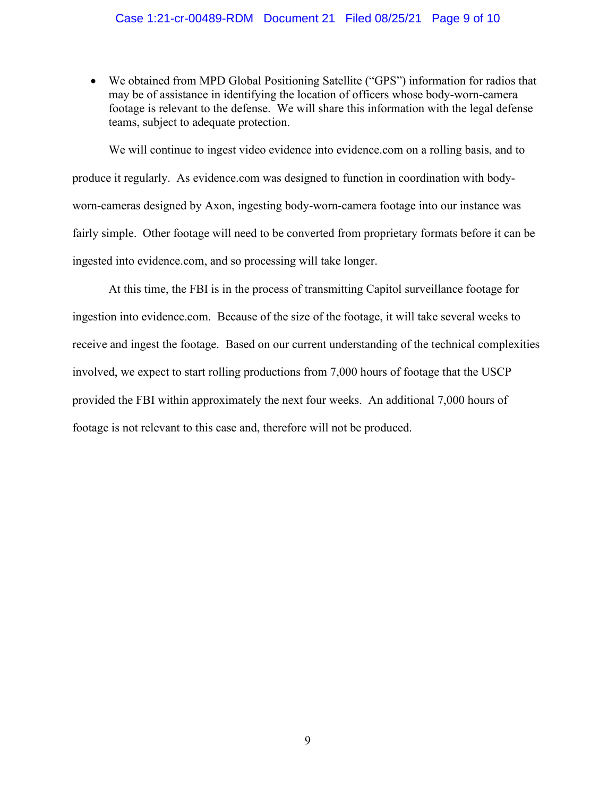• We obtained from MPD Global Positioning Satellite ("GPS") information for radios that may be of assistance in identifying the location of officers whose body-worn-camera footage is relevant to the defense. We will share this information with the legal defense teams, subject to adequate protection.

We will continue to ingest video evidence into evidence.com on a rolling basis, and to produce it regularly. As evidence.com was designed to function in coordination with bodyworn-cameras designed by Axon, ingesting body-worn-camera footage into our instance was fairly simple. Other footage will need to be converted from proprietary formats before it can be ingested into evidence.com, and so processing will take longer.

At this time, the FBI is in the process of transmitting Capitol surveillance footage for ingestion into evidence.com. Because of the size of the footage, it will take several weeks to receive and ingest the footage. Based on our current understanding of the technical complexities involved, we expect to start rolling productions from 7,000 hours of footage that the USCP provided the FBI within approximately the next four weeks. An additional 7,000 hours of footage is not relevant to this case and, therefore will not be produced.